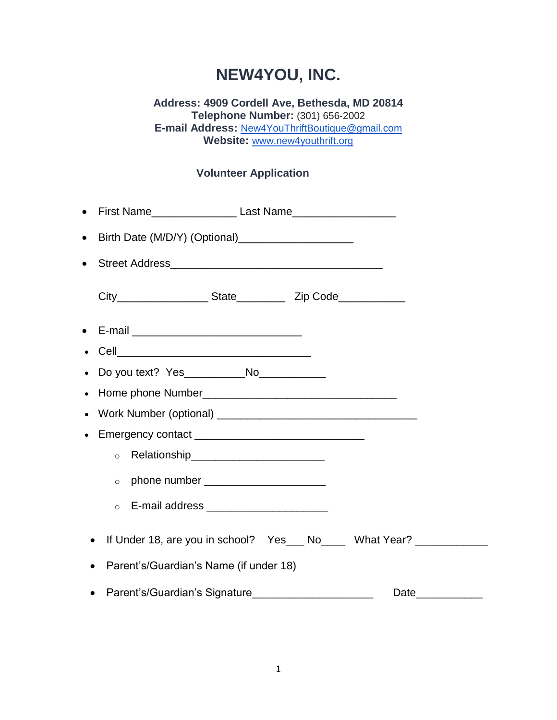## **NEW4YOU, INC.**

## **Address: 4909 Cordell Ave, Bethesda, MD 20814 Telephone Number:** (301) 656-2002 **E-mail Address:** [New4YouThriftBoutique@gmail.com](mailto:New4YouThriftBoutique@gmail.com) **Website:** [www.new4youthrift.org](http://www.new4youthrift.org/)

## **Volunteer Application**

| $\bullet$ |                                                                       |  |  |
|-----------|-----------------------------------------------------------------------|--|--|
| $\bullet$ |                                                                       |  |  |
| $\bullet$ |                                                                       |  |  |
|           |                                                                       |  |  |
| $\bullet$ |                                                                       |  |  |
|           |                                                                       |  |  |
|           |                                                                       |  |  |
|           |                                                                       |  |  |
|           |                                                                       |  |  |
|           |                                                                       |  |  |
|           | Relationship___________________________<br>$\circ$                    |  |  |
|           | $\circ$                                                               |  |  |
|           | E-mail address _______________________<br>$\circ$                     |  |  |
| $\bullet$ | If Under 18, are you in school? Yes___ No____ What Year? ____________ |  |  |
|           | Parent's/Guardian's Name (if under 18)                                |  |  |
|           | Parent's/Guardian's Signature<br>Date____________                     |  |  |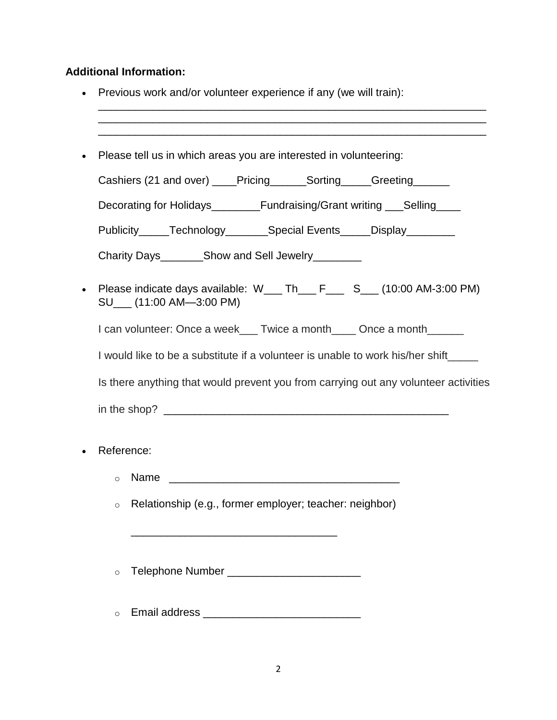## **Additional Information:**

- Previous work and/or volunteer experience if any (we will train):
- \_\_\_\_\_\_\_\_\_\_\_\_\_\_\_\_\_\_\_\_\_\_\_\_\_\_\_\_\_\_\_\_\_\_\_\_\_\_\_\_\_\_\_\_\_\_\_\_\_\_\_\_\_\_\_\_\_\_\_\_\_\_\_\_ Please tell us in which areas you are interested in volunteering: Cashiers (21 and over) discription of Sorting and Greeting Decorating for Holidays\_\_\_\_\_\_\_Fundraising/Grant writing \_\_\_Selling Publicity\_\_\_\_\_Technology\_\_\_\_\_\_\_Special Events\_\_\_\_\_Display\_\_\_\_\_\_\_\_ Charity Days Ghow and Sell Jewelry • Please indicate days available:  $W_{\_\_\_\_}$ Th $_{\_\_\_}$  F $_{\_\_}$  S $_{\_\_}$  (10:00 AM-3:00 PM) SU\_\_\_ (11:00 AM—3:00 PM) I can volunteer: Once a week\_\_\_ Twice a month\_\_\_\_ Once a month\_\_\_\_\_\_ I would like to be a substitute if a volunteer is unable to work his/her shift Is there anything that would prevent you from carrying out any volunteer activities in the shop?  $\Box$ • Reference:  $\circ$  Name  $\qquad \qquad$ o Relationship (e.g., former employer; teacher: neighbor)

\_\_\_\_\_\_\_\_\_\_\_\_\_\_\_\_\_\_\_\_\_\_\_\_\_\_\_\_\_\_\_\_\_\_\_\_\_\_\_\_\_\_\_\_\_\_\_\_\_\_\_\_\_\_\_\_\_\_\_\_\_\_\_\_ \_\_\_\_\_\_\_\_\_\_\_\_\_\_\_\_\_\_\_\_\_\_\_\_\_\_\_\_\_\_\_\_\_\_\_\_\_\_\_\_\_\_\_\_\_\_\_\_\_\_\_\_\_\_\_\_\_\_\_\_\_\_\_\_

 $\circ$  Telephone Number  $\circ$ 

\_\_\_\_\_\_\_\_\_\_\_\_\_\_\_\_\_\_\_\_\_\_\_\_\_\_\_\_\_\_\_\_\_\_

o Email address \_\_\_\_\_\_\_\_\_\_\_\_\_\_\_\_\_\_\_\_\_\_\_\_\_\_